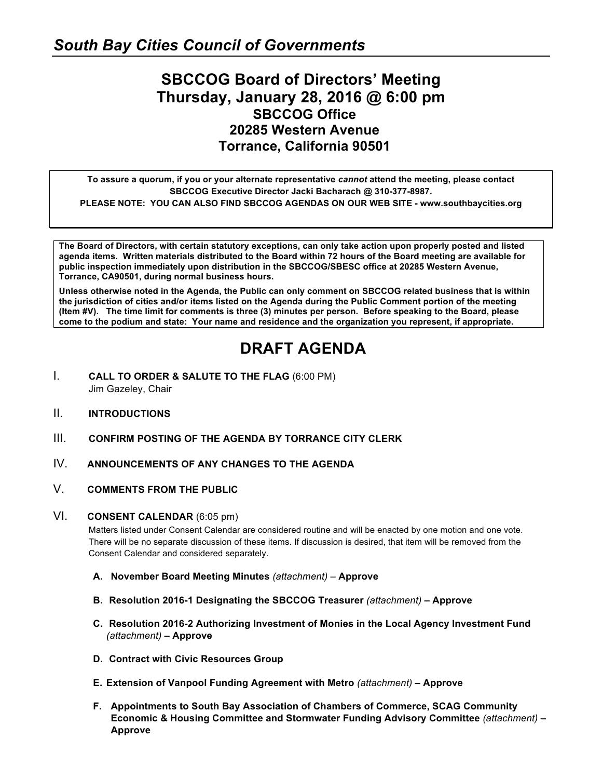### **SBCCOG Board of Directors' Meeting Thursday, January 28, 2016 @ 6:00 pm SBCCOG Office 20285 Western Avenue Torrance, California 90501**

**To assure a quorum, if you or your alternate representative** *cannot* **attend the meeting, please contact SBCCOG Executive Director Jacki Bacharach @ 310-377-8987. PLEASE NOTE: YOU CAN ALSO FIND SBCCOG AGENDAS ON OUR WEB SITE - www.southbaycities.org**

**The Board of Directors, with certain statutory exceptions, can only take action upon properly posted and listed agenda items. Written materials distributed to the Board within 72 hours of the Board meeting are available for public inspection immediately upon distribution in the SBCCOG/SBESC office at 20285 Western Avenue, Torrance, CA90501, during normal business hours.** 

**Unless otherwise noted in the Agenda, the Public can only comment on SBCCOG related business that is within the jurisdiction of cities and/or items listed on the Agenda during the Public Comment portion of the meeting (Item #V). The time limit for comments is three (3) minutes per person. Before speaking to the Board, please come to the podium and state: Your name and residence and the organization you represent, if appropriate.** 

## **DRAFT AGENDA**

- I. **CALL TO ORDER & SALUTE TO THE FLAG** (6:00 PM) Jim Gazeley, Chair
- II. **INTRODUCTIONS**
- III. **CONFIRM POSTING OF THE AGENDA BY TORRANCE CITY CLERK**
- IV. **ANNOUNCEMENTS OF ANY CHANGES TO THE AGENDA**
- V. **COMMENTS FROM THE PUBLIC**

#### VI. **CONSENT CALENDAR** (6:05 pm)

Matters listed under Consent Calendar are considered routine and will be enacted by one motion and one vote. There will be no separate discussion of these items. If discussion is desired, that item will be removed from the Consent Calendar and considered separately.

- **A. November Board Meeting Minutes** *(attachment) –* **Approve**
- **B. Resolution 2016-1 Designating the SBCCOG Treasurer** *(attachment)* **– Approve**
- **C. Resolution 2016-2 Authorizing Investment of Monies in the Local Agency Investment Fund**  *(attachment)* **– Approve**
- **D. Contract with Civic Resources Group**
- **E. Extension of Vanpool Funding Agreement with Metro** *(attachment)* **– Approve**
- **F. Appointments to South Bay Association of Chambers of Commerce, SCAG Community Economic & Housing Committee and Stormwater Funding Advisory Committee** *(attachment)* **– Approve**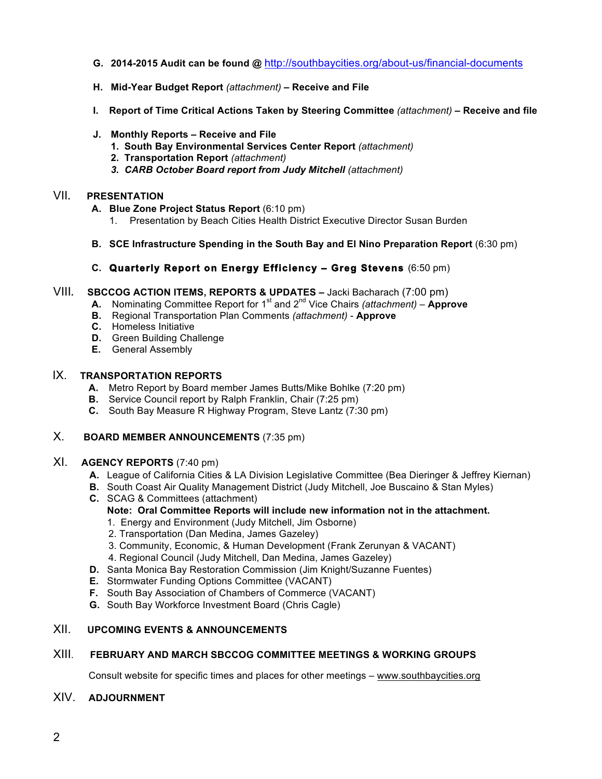- **G. 2014-2015 Audit can be found @** http://southbaycities.org/about-us/financial-documents
- **H. Mid-Year Budget Report** *(attachment)* **– Receive and File**
- **I. Report of Time Critical Actions Taken by Steering Committee** *(attachment)* **– Receive and file**
- **J. Monthly Reports – Receive and File**
	- **1. South Bay Environmental Services Center Report** *(attachment)*
	- **2. Transportation Report** *(attachment)*
	- *3. CARB October Board report from Judy Mitchell (attachment)*

#### VII**. PRESENTATION**

- **A. Blue Zone Project Status Report** (6:10 pm)
	- 1. Presentation by Beach Cities Health District Executive Director Susan Burden
- **B. SCE Infrastructure Spending in the South Bay and El Nino Preparation Report** (6:30 pm)

#### **C. Quarterly Report on Energy Efficiency – Greg Stevens** (6:50 pm)

- VIII**. SBCCOG ACTION ITEMS, REPORTS & UPDATES –** Jacki Bacharach (7:00 pm)
	- **A.** Nominating Committee Report for 1<sup>st</sup> and 2<sup>nd</sup> Vice Chairs *(attachment)* **Approve**
	- **B.** Regional Transportation Plan Comments *(attachment)*  **Approve**
	- **C.** Homeless Initiative
	- **D.** Green Building Challenge
	- **E.** General Assembly

#### IX. **TRANSPORTATION REPORTS**

- **A.** Metro Report by Board member James Butts/Mike Bohlke (7:20 pm)
- **B.** Service Council report by Ralph Franklin, Chair (7:25 pm)
- **C.** South Bay Measure R Highway Program, Steve Lantz (7:30 pm)

#### X. **BOARD MEMBER ANNOUNCEMENTS** (7:35 pm)

#### XI. **AGENCY REPORTS** (7:40 pm)

- **A.** League of California Cities & LA Division Legislative Committee (Bea Dieringer & Jeffrey Kiernan)
- **B.** South Coast Air Quality Management District (Judy Mitchell, Joe Buscaino & Stan Myles)
- **C.** SCAG & Committees (attachment) **Note: Oral Committee Reports will include new information not in the attachment.**
	- 1. Energy and Environment (Judy Mitchell, Jim Osborne)
	- 2. Transportation (Dan Medina, James Gazeley)
	- 3. Community, Economic, & Human Development (Frank Zerunyan & VACANT)
	- 4. Regional Council (Judy Mitchell, Dan Medina, James Gazeley)
- **D.** Santa Monica Bay Restoration Commission (Jim Knight/Suzanne Fuentes)
- **E.** Stormwater Funding Options Committee (VACANT)
- **F.** South Bay Association of Chambers of Commerce (VACANT)
- **G.** South Bay Workforce Investment Board (Chris Cagle)

#### XII. **UPCOMING EVENTS & ANNOUNCEMENTS**

#### XIII. **FEBRUARY AND MARCH SBCCOG COMMITTEE MEETINGS & WORKING GROUPS**

Consult website for specific times and places for other meetings – www.southbaycities.org

#### XIV. **ADJOURNMENT**